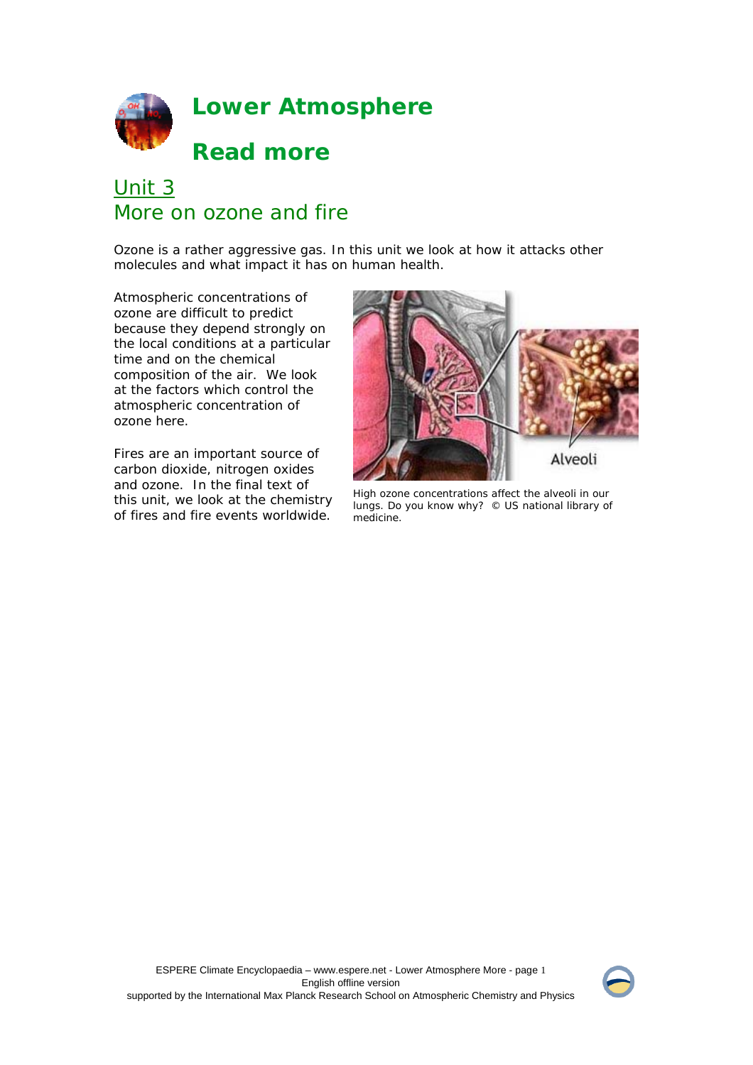

# Unit 3 More on ozone and fire

Ozone is a rather aggressive gas. In this unit we look at how it attacks other molecules and what impact it has on human health.

Atmospheric concentrations of ozone are difficult to predict because they depend strongly on the local conditions at a particular time and on the chemical composition of the air. We look at the factors which control the atmospheric concentration of ozone here.

Fires are an important source of carbon dioxide, nitrogen oxides and ozone. In the final text of this unit, we look at the chemistry of fires and fire events worldwide.



High ozone concentrations affect the alveoli in our lungs. Do you know why? © US national library of medicine.

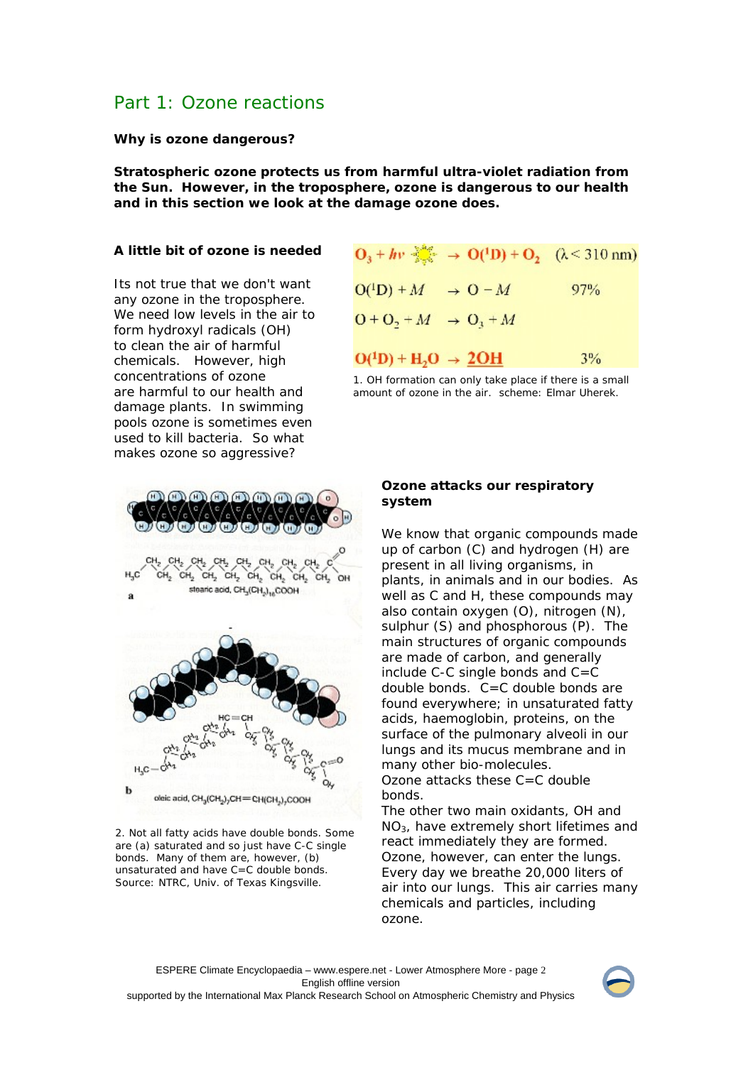## Part 1: Ozone reactions

**Why is ozone dangerous?** 

**Stratospheric ozone protects us from harmful ultra-violet radiation from the Sun. However, in the troposphere, ozone is dangerous to our health and in this section we look at the damage ozone does.**

#### **A little bit of ozone is needed**

Its not true that we don't want any ozone in the troposphere. We need low levels in the air to form hydroxyl radicals (OH) to clean the air of harmful chemicals. However, high concentrations of ozone are harmful to our health and damage plants. In swimming pools ozone is sometimes even used to kill bacteria. So what makes ozone so aggressive?



2. Not all fatty acids have double bonds. Some are (a) saturated and so just have C-C single bonds. Many of them are, however, (b) unsaturated and have C=C double bonds. Source: NTRC, Univ. of Texas Kingsville.

|                                  |  | $O_3 + hv \frac{1000}{1000} \rightarrow O(^{1}D) + O_2$ ( $\lambda$ < 310 nm) |
|----------------------------------|--|-------------------------------------------------------------------------------|
| $O(^{1}D) + M \rightarrow O - M$ |  | 97%                                                                           |
| $0 + 0, +M \rightarrow 0, +M$    |  |                                                                               |
| $O(^1D) + H_2O \rightarrow 2OH$  |  | $3\%$                                                                         |

1. OH formation can only take place if there is a small amount of ozone in the air. scheme: Elmar Uherek.

#### **Ozone attacks our respiratory system**

We know that organic compounds made up of carbon (C) and hydrogen (H) are present in all living organisms, in plants, in animals and in our bodies. As well as C and H, these compounds may also contain oxygen (O), nitrogen (N), sulphur (S) and phosphorous (P). The main structures of organic compounds are made of carbon, and generally include C-C single bonds and C=C double bonds. C=C double bonds are found everywhere; in unsaturated fatty acids, haemoglobin, proteins, on the surface of the pulmonary alveoli in our lungs and its mucus membrane and in many other bio-molecules.

Ozone attacks these C=C double bonds.

The other two main oxidants, OH and NO3, have extremely short lifetimes and react immediately they are formed. Ozone, however, can enter the lungs. Every day we breathe 20,000 liters of air into our lungs. This air carries many chemicals and particles, including ozone.

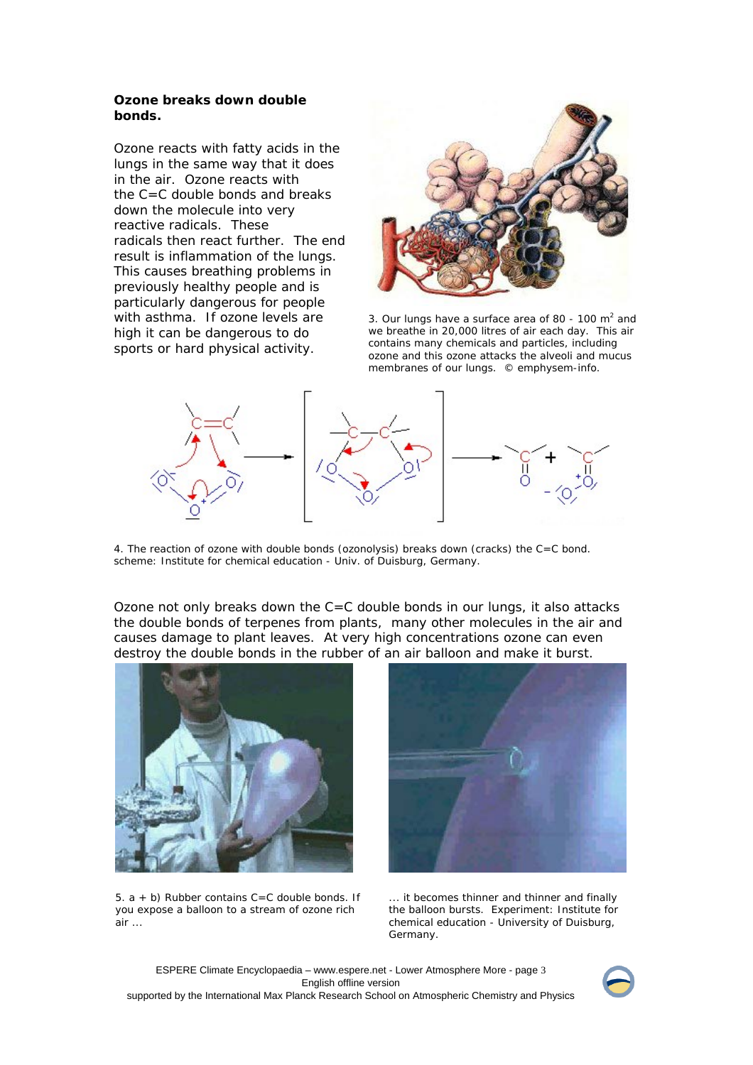#### **Ozone breaks down double bonds.**

Ozone reacts with fatty acids in the lungs in the same way that it does in the air. Ozone reacts with the C=C double bonds and breaks down the molecule into very reactive radicals. These radicals then react further. The end result is inflammation of the lungs. This causes breathing problems in previously healthy people and is particularly dangerous for people with asthma. If ozone levels are high it can be dangerous to do sports or hard physical activity.



3. Our lungs have a surface area of 80 - 100  $m<sup>2</sup>$  and we breathe in 20,000 litres of air each day. This air contains many chemicals and particles, including ozone and this ozone attacks the alveoli and mucus membranes of our lungs. © emphysem-info.



4. The reaction of ozone with double bonds (ozonolysis) breaks down (cracks) the C=C bond. scheme: Institute for chemical education - Univ. of Duisburg, Germany.

Ozone not only breaks down the C=C double bonds in our lungs, it also attacks the double bonds of terpenes from plants, many other molecules in the air and causes damage to plant leaves. At very high concentrations ozone can even destroy the double bonds in the rubber of an air balloon and make it burst.



5.  $a + b$ ) Rubber contains  $C = C$  double bonds. If you expose a balloon to a stream of ozone rich  $air \dots$ 



... it becomes thinner and thinner and finally the balloon bursts. Experiment: Institute for chemical education - University of Duisburg, Germany.



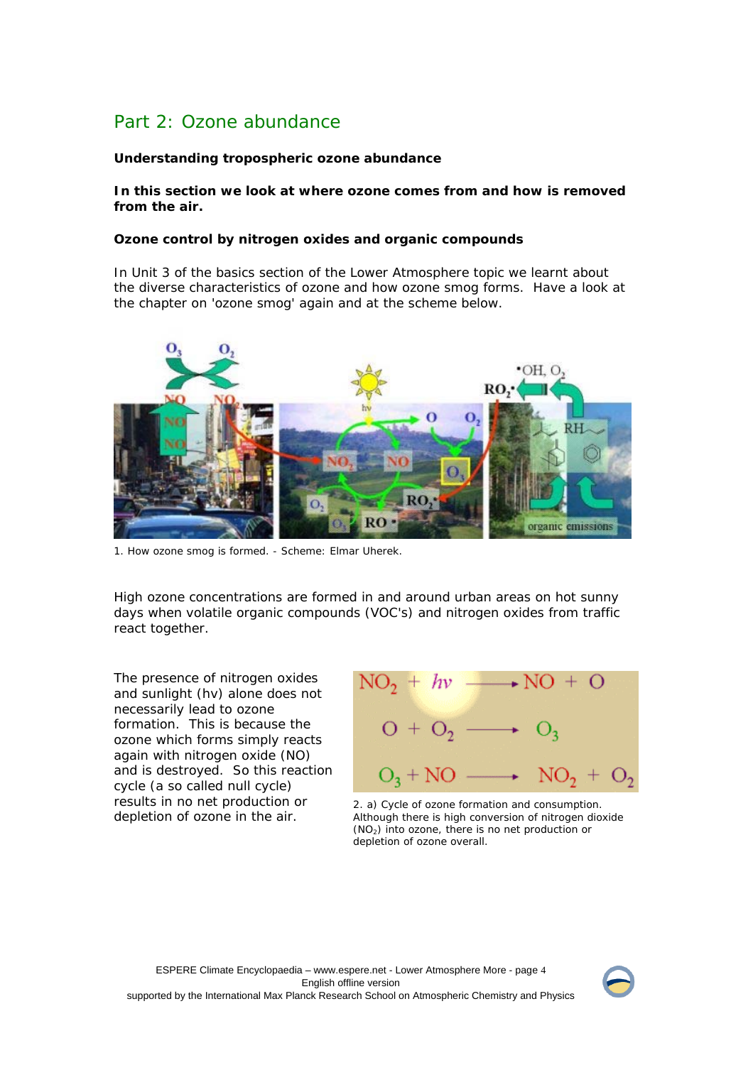# Part 2: Ozone abundance

## **Understanding tropospheric ozone abundance**

## **In this section we look at where ozone comes from and how is removed from the air.**

### **Ozone control by nitrogen oxides and organic compounds**

In Unit 3 of the basics section of the Lower Atmosphere topic we learnt about the diverse characteristics of ozone and how ozone smog forms. Have a look at the chapter on 'ozone smog' again and at the scheme below.



1. How ozone smog is formed. - Scheme: Elmar Uherek.

High ozone concentrations are formed in and around urban areas on hot sunny days when volatile organic compounds (VOC's) and nitrogen oxides from traffic react together.

The presence of nitrogen oxides and sunlight (hv) alone does not necessarily lead to ozone formation. This is because the ozone which forms simply reacts again with nitrogen oxide (NO) and is destroyed. So this reaction cycle (a so called null cycle) results in no net production or depletion of ozone in the air.



2. a) Cycle of ozone formation and consumption. Although there is high conversion of nitrogen dioxide (NO2) into ozone, there is no net production or depletion of ozone overall.

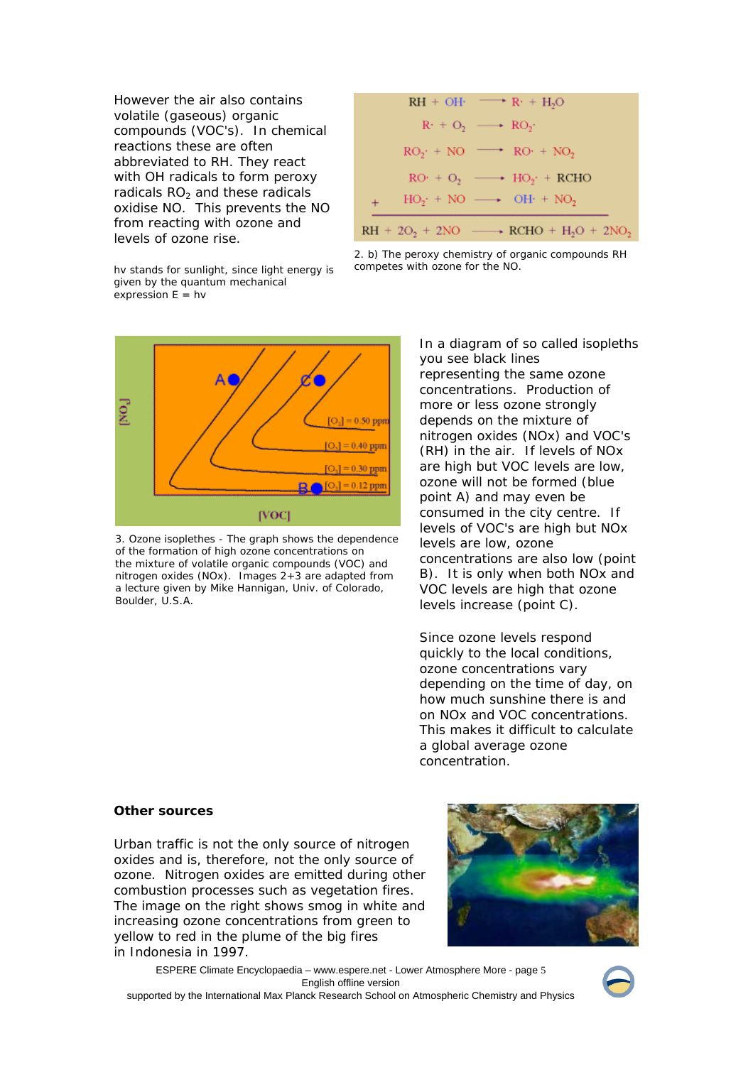However the air also contains volatile (gaseous) organic compounds (VOC's). In chemical reactions these are often abbreviated to RH. They react with OH radicals to form peroxy radicals  $RO<sub>2</sub>$  and these radicals oxidise NO. This prevents the NO from reacting with ozone and levels of ozone rise.

|                                                                               | $RH + OH \longrightarrow R + H2O$                  |  |
|-------------------------------------------------------------------------------|----------------------------------------------------|--|
|                                                                               | $R_1 + Q_2 \longrightarrow RQ_2$                   |  |
|                                                                               | $RO_2$ + NO $\longrightarrow$ RO + NO <sub>2</sub> |  |
|                                                                               | $RO: + O_2 \longrightarrow HO_2: + RCHO$           |  |
| $+$                                                                           | $HO_2$ + NO $\longrightarrow$ OH + NO <sub>2</sub> |  |
| $RH + 2O2 + 2NO$ $\longrightarrow$ RCHO + H <sub>2</sub> O + 2NO <sub>2</sub> |                                                    |  |

hv stands for sunlight, since light energy is given by the quantum mechanical expression  $E = hv$ 





3. Ozone isoplethes - The graph shows the dependence of the formation of high ozone concentrations on the mixture of volatile organic compounds (VOC) and nitrogen oxides (NOx). Images 2+3 are adapted from a lecture given by Mike Hannigan, Univ. of Colorado, Boulder, U.S.A.

In a diagram of so called isopleths you see black lines representing the same ozone concentrations. Production of more or less ozone strongly depends on the mixture of nitrogen oxides (NOx) and VOC's (RH) in the air. If levels of NOx are high but VOC levels are low, ozone will not be formed (blue point A) and may even be consumed in the city centre. If levels of VOC's are high but NOx levels are low, ozone concentrations are also low (point B). It is only when both NOx and VOC levels are high that ozone levels increase (point C).

Since ozone levels respond quickly to the local conditions, ozone concentrations vary depending on the time of day, on how much sunshine there is and on NOx and VOC concentrations. This makes it difficult to calculate a global average ozone concentration.

#### **Other sources**

Urban traffic is not the only source of nitrogen oxides and is, therefore, not the only source of ozone. Nitrogen oxides are emitted during other combustion processes such as vegetation fires. The image on the right shows smog in white and increasing ozone concentrations from green to yellow to red in the plume of the big fires in Indonesia in 1997.



ESPERE Climate Encyclopaedia – www.espere.net - Lower Atmosphere More - page 5 English offline version supported by the International Max Planck Research School on Atmospheric Chemistry and Physics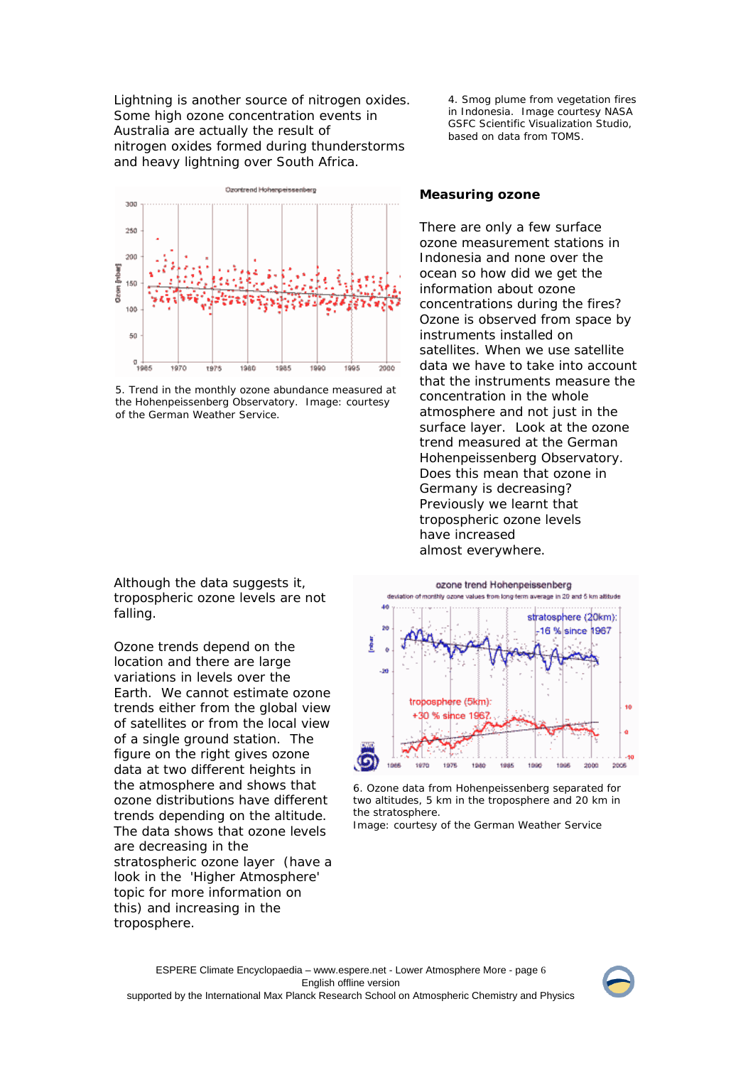Lightning is another source of nitrogen oxides. Some high ozone concentration events in Australia are actually the result of nitrogen oxides formed during thunderstorms and heavy lightning over South Africa.



5. Trend in the monthly ozone abundance measured at the Hohenpeissenberg Observatory. Image: courtesy of the German Weather Service.

Although the data suggests it, tropospheric ozone levels are not falling.

Ozone trends depend on the location and there are large variations in levels over the Earth. We cannot estimate ozone trends either from the global view of satellites or from the local view of a single ground station. The figure on the right gives ozone data at two different heights in the atmosphere and shows that ozone distributions have different trends depending on the altitude. The data shows that ozone levels are decreasing in the stratospheric ozone layer (have a look in the 'Higher Atmosphere' topic for more information on this) and increasing in the troposphere.

4. Smog plume from vegetation fires in Indonesia. Image courtesy NASA GSFC Scientific Visualization Studio, based on data from TOMS.

#### **Measuring ozone**

There are only a few surface ozone measurement stations in Indonesia and none over the ocean so how did we get the information about ozone concentrations during the fires? Ozone is observed from space by instruments installed on satellites. When we use satellite data we have to take into account that the instruments measure the concentration in the whole atmosphere and not just in the surface layer. Look at the ozone trend measured at the German Hohenpeissenberg Observatory. Does this mean that ozone in Germany is decreasing? Previously we learnt that tropospheric ozone levels have increased almost everywhere.



6. Ozone data from Hohenpeissenberg separated for two altitudes, 5 km in the troposphere and 20 km in the stratosphere.

Image: courtesy of the German Weather Service

ESPERE Climate Encyclopaedia – www.espere.net - Lower Atmosphere More - page 6 English offline version supported by the International Max Planck Research School on Atmospheric Chemistry and Physics

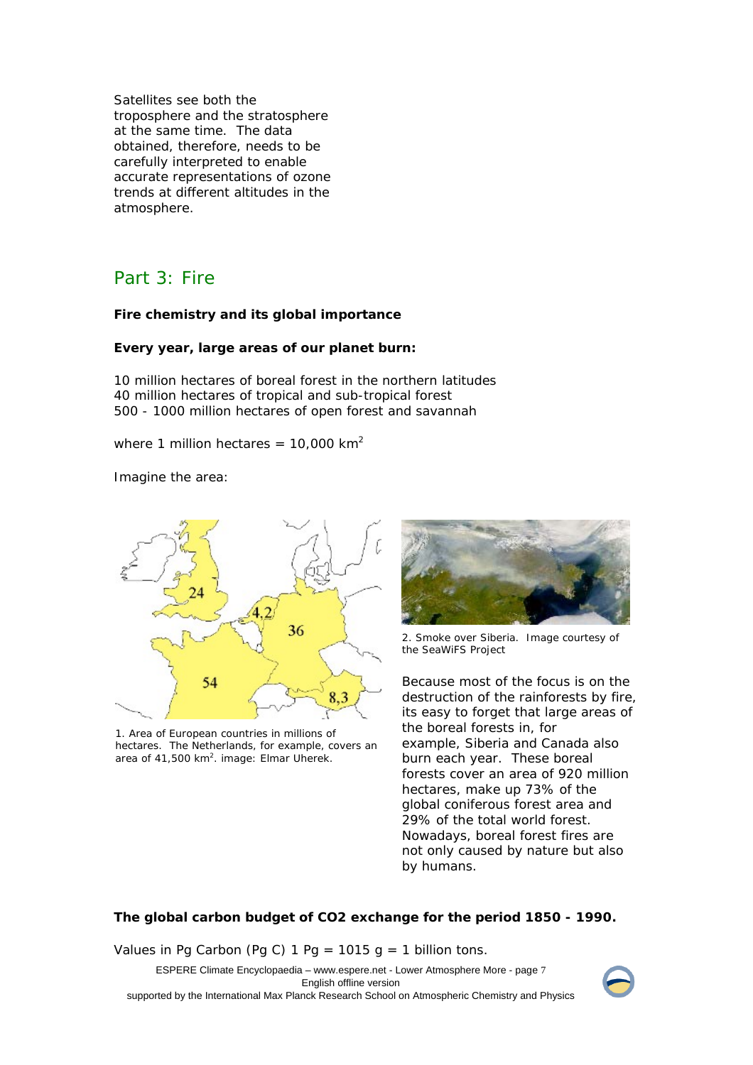Satellites see both the troposphere and the stratosphere at the same time. The data obtained, therefore, needs to be carefully interpreted to enable accurate representations of ozone trends at different altitudes in the atmosphere.

## Part 3: Fire

#### **Fire chemistry and its global importance**

#### **Every year, large areas of our planet burn:**

10 million hectares of boreal forest in the northern latitudes 40 million hectares of tropical and sub-tropical forest 500 - 1000 million hectares of open forest and savannah

where 1 million hectares =  $10,000$  km<sup>2</sup>

Imagine the area:



1. Area of European countries in millions of hectares. The Netherlands, for example, covers an area of  $41,500$  km<sup>2</sup>. image: Elmar Uherek.



2. Smoke over Siberia. Image courtesy of the SeaWiFS Project

Because most of the focus is on the destruction of the rainforests by fire, its easy to forget that large areas of the boreal forests in, for example, Siberia and Canada also burn each year. These boreal forests cover an area of 920 million hectares, make up 73% of the global coniferous forest area and 29% of the total world forest. Nowadays, boreal forest fires are not only caused by nature but also by humans.

## **The global carbon budget of CO2 exchange for the period 1850 - 1990.**

Values in Pg Carbon (Pg C) 1 Pg = 1015 g = 1 billion tons.

ESPERE Climate Encyclopaedia – www.espere.net - Lower Atmosphere More - page 7 English offline version supported by the International Max Planck Research School on Atmospheric Chemistry and Physics

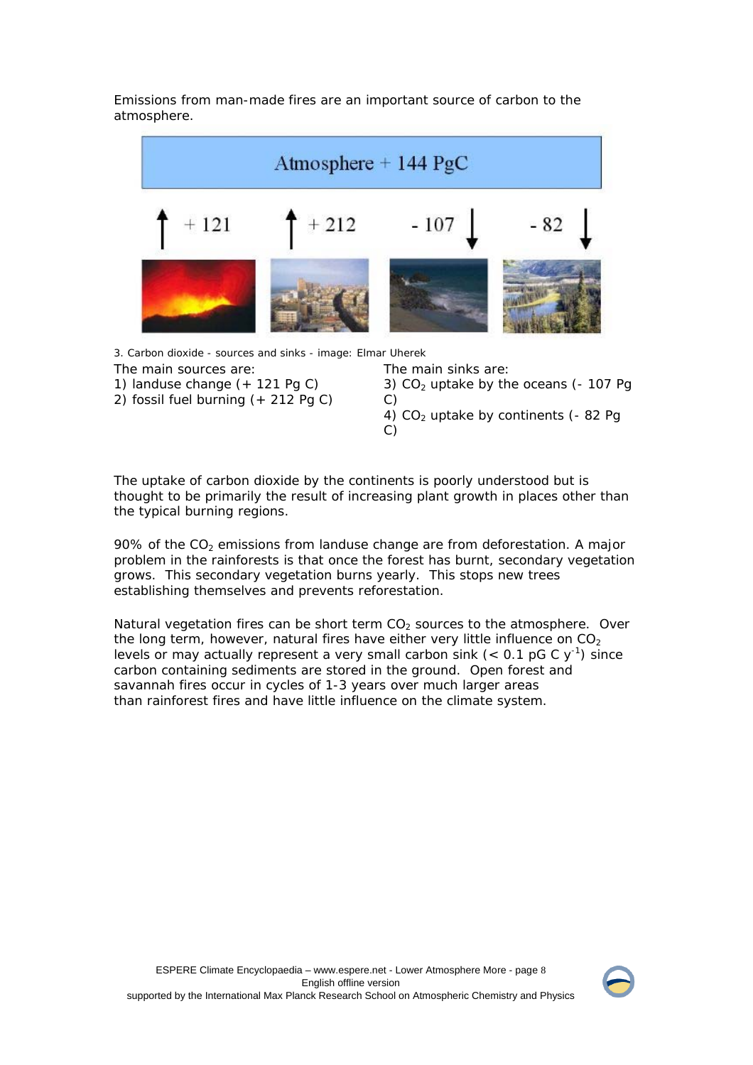Emissions from man-made fires are an important source of carbon to the atmosphere.



3. Carbon dioxide - sources and sinks - image: Elmar Uherek

- The main sources are:
- 1) landuse change (+ 121 Pg C)
- 2) fossil fuel burning (+ 212 Pg C)

The main sinks are:

3)  $CO<sub>2</sub>$  uptake by the oceans (- 107 Pg C)

4)  $CO<sub>2</sub>$  uptake by continents (- 82 Pg C)

The uptake of carbon dioxide by the continents is poorly understood but is thought to be primarily the result of increasing plant growth in places other than the typical burning regions.

90% of the  $CO<sub>2</sub>$  emissions from landuse change are from deforestation. A major problem in the rainforests is that once the forest has burnt, secondary vegetation grows. This secondary vegetation burns yearly. This stops new trees establishing themselves and prevents reforestation.

Natural vegetation fires can be short term  $CO<sub>2</sub>$  sources to the atmosphere. Over the long term, however, natural fires have either very little influence on  $CO<sub>2</sub>$ levels or may actually represent a very small carbon sink  $(< 0.1 \text{ pG C y}^{-1})$  since carbon containing sediments are stored in the ground. Open forest and savannah fires occur in cycles of 1-3 years over much larger areas than rainforest fires and have little influence on the climate system.

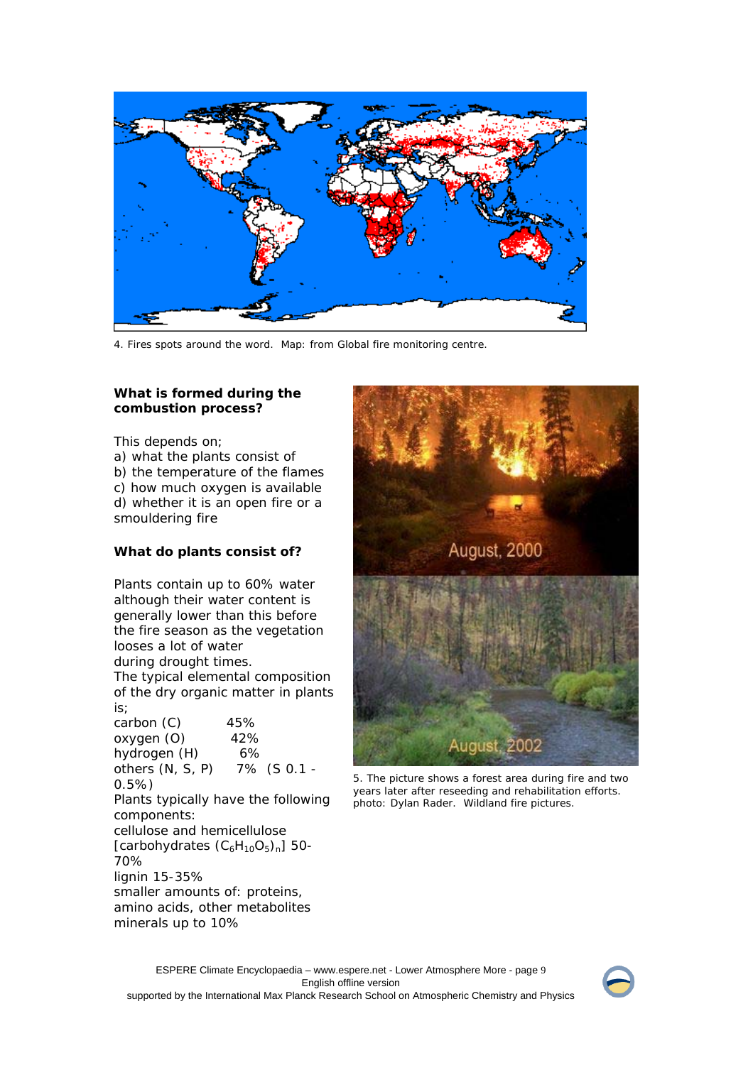

4. Fires spots around the word. Map: from Global fire monitoring centre.

## **What is formed during the combustion process?**

This depends on;

a) what the plants consist of

b) the temperature of the flames c) how much oxygen is available d) whether it is an open fire or a smouldering fire

## **What do plants consist of?**

Plants contain up to 60% water although their water content is generally lower than this before the fire season as the vegetation looses a lot of water

during drought times. The typical elemental composition of the dry organic matter in plants is;

carbon (C) 45% oxygen (O) 42% hydrogen (H) 6% others (N, S, P) 7% (S 0.1 - 0.5%) Plants typically have the following components: cellulose and hemicellulose [carbohydrates  $(C_6H_{10}O_5)_n$ ] 50-70% lignin 15-35% smaller amounts of: proteins, amino acids, other metabolites minerals up to 10%



5. The picture shows a forest area during fire and two years later after reseeding and rehabilitation efforts. photo: Dylan Rader. Wildland fire pictures.